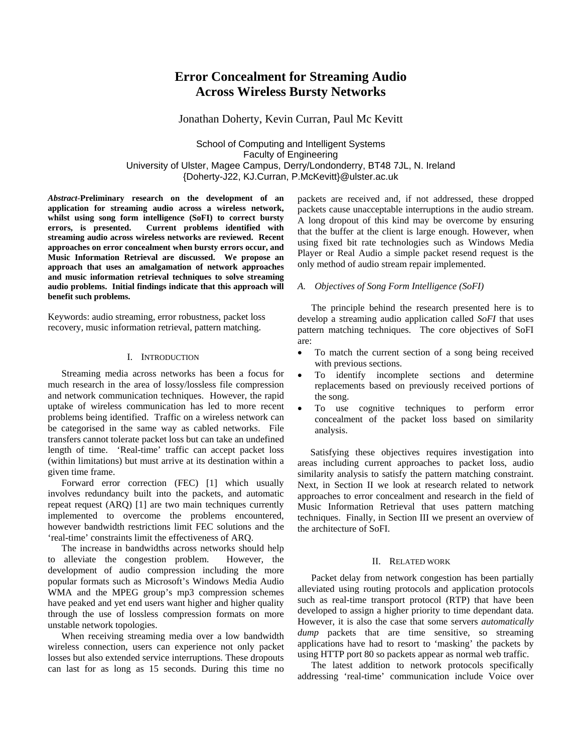# **Error Concealment for Streaming Audio Across Wireless Bursty Networks**

Jonathan Doherty, Kevin Curran, Paul Mc Kevitt

School of Computing and Intelligent Systems Faculty of Engineering University of Ulster, Magee Campus, Derry/Londonderry, BT48 7JL, N. Ireland {Doherty-J22, KJ.Curran, P.McKevitt}@ulster.ac.uk

*Abstract*-**Preliminary research on the development of an application for streaming audio across a wireless network, whilst using song form intelligence (SoFI) to correct bursty errors, is presented. Current problems identified with streaming audio across wireless networks are reviewed. Recent approaches on error concealment when bursty errors occur, and Music Information Retrieval are discussed. We propose an approach that uses an amalgamation of network approaches and music information retrieval techniques to solve streaming audio problems. Initial findings indicate that this approach will benefit such problems.** 

Keywords: audio streaming, error robustness, packet loss recovery, music information retrieval, pattern matching.

## I. INTRODUCTION

Streaming media across networks has been a focus for much research in the area of lossy/lossless file compression and network communication techniques. However, the rapid uptake of wireless communication has led to more recent problems being identified. Traffic on a wireless network can be categorised in the same way as cabled networks. File transfers cannot tolerate packet loss but can take an undefined length of time. 'Real-time' traffic can accept packet loss (within limitations) but must arrive at its destination within a given time frame.

Forward error correction (FEC) [1] which usually involves redundancy built into the packets, and automatic repeat request (ARQ) [1] are two main techniques currently implemented to overcome the problems encountered, however bandwidth restrictions limit FEC solutions and the 'real-time' constraints limit the effectiveness of ARQ.

The increase in bandwidths across networks should help to alleviate the congestion problem. However, the development of audio compression including the more popular formats such as Microsoft's Windows Media Audio WMA and the MPEG group's mp3 compression schemes have peaked and yet end users want higher and higher quality through the use of lossless compression formats on more unstable network topologies.

When receiving streaming media over a low bandwidth wireless connection, users can experience not only packet losses but also extended service interruptions. These dropouts can last for as long as 15 seconds. During this time no packets are received and, if not addressed, these dropped packets cause unacceptable interruptions in the audio stream. A long dropout of this kind may be overcome by ensuring that the buffer at the client is large enough. However, when using fixed bit rate technologies such as Windows Media Player or Real Audio a simple packet resend request is the only method of audio stream repair implemented.

## *A. Objectives of Song Form Intelligence (SoFI)*

The principle behind the research presented here is to develop a streaming audio application called *SoFI* that uses pattern matching techniques. The core objectives of SoFI are:

- To match the current section of a song being received with previous sections.
- To identify incomplete sections and determine replacements based on previously received portions of the song.
- To use cognitive techniques to perform error concealment of the packet loss based on similarity analysis.

Satisfying these objectives requires investigation into areas including current approaches to packet loss, audio similarity analysis to satisfy the pattern matching constraint. Next, in Section II we look at research related to network approaches to error concealment and research in the field of Music Information Retrieval that uses pattern matching techniques. Finally, in Section III we present an overview of the architecture of SoFI.

## II. RELATED WORK

Packet delay from network congestion has been partially alleviated using routing protocols and application protocols such as real-time transport protocol (RTP) that have been developed to assign a higher priority to time dependant data. However, it is also the case that some servers *automatically* dump packets that are time sensitive, so streaming applications have had to resort to 'masking' the packets by using HTTP port 80 so packets appear as normal web traffic.

The latest addition to network protocols specifically addressing 'real-time' communication include Voice over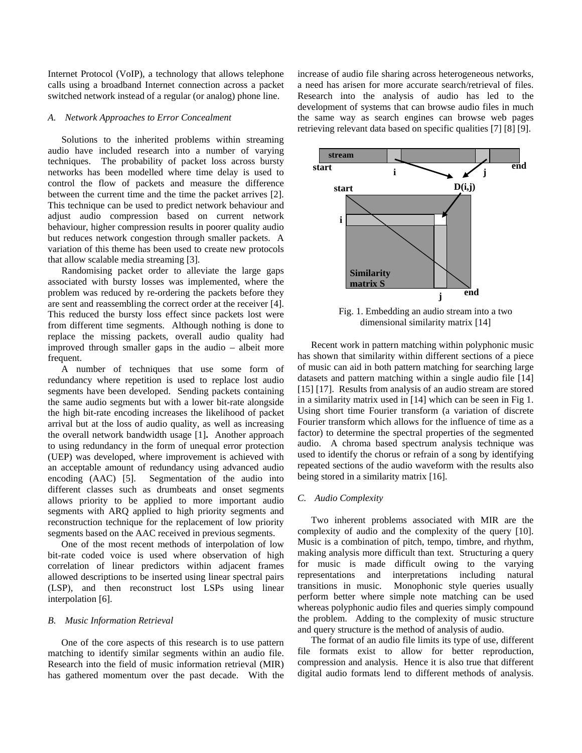Internet Protocol (VoIP), a technology that allows telephone calls using a broadband Internet connection across a packet switched network instead of a regular (or analog) phone line.

## *A. Network Approaches to Error Concealment*

Solutions to the inherited problems within streaming audio have included research into a number of varying techniques. The probability of packet loss across bursty networks has been modelled where time delay is used to control the flow of packets and measure the difference between the current time and the time the packet arrives [2]. This technique can be used to predict network behaviour and adjust audio compression based on current network behaviour, higher compression results in poorer quality audio but reduces network congestion through smaller packets. A variation of this theme has been used to create new protocols that allow scalable media streaming [3].

Randomising packet order to alleviate the large gaps associated with bursty losses was implemented, where the problem was reduced by re-ordering the packets before they are sent and reassembling the correct order at the receiver [4]. This reduced the bursty loss effect since packets lost were from different time segments. Although nothing is done to replace the missing packets, overall audio quality had improved through smaller gaps in the audio – albeit more frequent.

A number of techniques that use some form of redundancy where repetition is used to replace lost audio segments have been developed. Sending packets containing the same audio segments but with a lower bit-rate alongside the high bit-rate encoding increases the likelihood of packet arrival but at the loss of audio quality, as well as increasing the overall network bandwidth usage [1]**.** Another approach to using redundancy in the form of unequal error protection (UEP) was developed, where improvement is achieved with an acceptable amount of redundancy using advanced audio encoding (AAC) [5]. Segmentation of the audio into different classes such as drumbeats and onset segments allows priority to be applied to more important audio segments with ARQ applied to high priority segments and reconstruction technique for the replacement of low priority segments based on the AAC received in previous segments.

One of the most recent methods of interpolation of low bit-rate coded voice is used where observation of high correlation of linear predictors within adjacent frames allowed descriptions to be inserted using linear spectral pairs (LSP), and then reconstruct lost LSPs using linear interpolation [6].

## *B. Music Information Retrieval*

One of the core aspects of this research is to use pattern matching to identify similar segments within an audio file. Research into the field of music information retrieval (MIR) has gathered momentum over the past decade. With the

increase of audio file sharing across heterogeneous networks, a need has arisen for more accurate search/retrieval of files. Research into the analysis of audio has led to the development of systems that can browse audio files in much the same way as search engines can browse web pages retrieving relevant data based on specific qualities [7] [8] [9].



Fig. 1. Embedding an audio stream into a two dimensional similarity matrix [14]

Recent work in pattern matching within polyphonic music has shown that similarity within different sections of a piece of music can aid in both pattern matching for searching large datasets and pattern matching within a single audio file [14] [15] [17]. Results from analysis of an audio stream are stored in a similarity matrix used in [14] which can be seen in Fig 1. Using short time Fourier transform (a variation of discrete Fourier transform which allows for the influence of time as a factor) to determine the spectral properties of the segmented audio. A chroma based spectrum analysis technique was used to identify the chorus or refrain of a song by identifying repeated sections of the audio waveform with the results also being stored in a similarity matrix [16].

#### *C. Audio Complexity*

Two inherent problems associated with MIR are the complexity of audio and the complexity of the query [10]. Music is a combination of pitch, tempo, timbre, and rhythm, making analysis more difficult than text. Structuring a query for music is made difficult owing to the varying representations and interpretations including natural transitions in music. Monophonic style queries usually perform better where simple note matching can be used whereas polyphonic audio files and queries simply compound the problem. Adding to the complexity of music structure and query structure is the method of analysis of audio.

The format of an audio file limits its type of use, different file formats exist to allow for better reproduction, compression and analysis. Hence it is also true that different digital audio formats lend to different methods of analysis.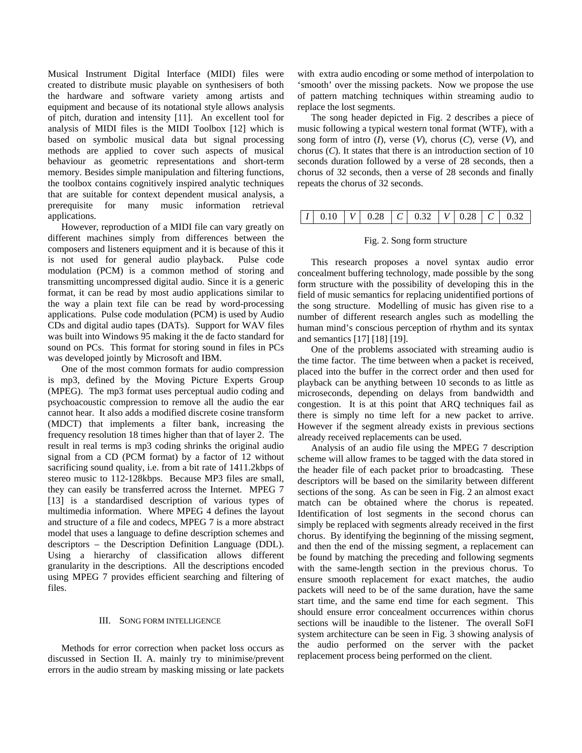Musical Instrument Digital Interface (MIDI) files were created to distribute music playable on synthesisers of both the hardware and software variety among artists and equipment and because of its notational style allows analysis of pitch, duration and intensity [11]. An excellent tool for analysis of MIDI files is the MIDI Toolbox [12] which is based on symbolic musical data but signal processing methods are applied to cover such aspects of musical behaviour as geometric representations and short-term memory. Besides simple manipulation and filtering functions, the toolbox contains cognitively inspired analytic techniques that are suitable for context dependent musical analysis, a prerequisite for many music information retrieval applications.

However, reproduction of a MIDI file can vary greatly on different machines simply from differences between the composers and listeners equipment and it is because of this it is not used for general audio playback. Pulse code modulation (PCM) is a common method of storing and transmitting uncompressed digital audio. Since it is a generic format, it can be read by most audio applications similar to the way a plain text file can be read by word-processing applications. Pulse code modulation (PCM) is used by Audio CDs and digital audio tapes (DATs). Support for WAV files was built into Windows 95 making it the de facto standard for sound on PCs. This format for storing sound in files in PCs was developed jointly by Microsoft and IBM.

One of the most common formats for audio compression is mp3, defined by the Moving Picture Experts Group (MPEG). The mp3 format uses perceptual audio coding and psychoacoustic compression to remove all the audio the ear cannot hear. It also adds a modified discrete cosine transform (MDCT) that implements a filter bank, increasing the frequency resolution 18 times higher than that of layer 2. The result in real terms is mp3 coding shrinks the original audio signal from a CD (PCM format) by a factor of 12 without sacrificing sound quality, i.e. from a bit rate of 1411.2kbps of stereo music to 112-128kbps. Because MP3 files are small, they can easily be transferred across the Internet. MPEG 7 [13] is a standardised description of various types of multimedia information. Where MPEG 4 defines the layout and structure of a file and codecs, MPEG 7 is a more abstract model that uses a language to define description schemes and descriptors – the Description Definition Language (DDL). Using a hierarchy of classification allows different granularity in the descriptions. All the descriptions encoded using MPEG 7 provides efficient searching and filtering of files.

### III. SONG FORM INTELLIGENCE

Methods for error correction when packet loss occurs as discussed in Section II. A. mainly try to minimise/prevent errors in the audio stream by masking missing or late packets

with extra audio encoding or some method of interpolation to 'smooth' over the missing packets. Now we propose the use of pattern matching techniques within streaming audio to replace the lost segments.

The song header depicted in Fig. 2 describes a piece of music following a typical western tonal format (WTF), with a song form of intro (*I*), verse (*V*), chorus (*C*), verse (*V*), and chorus (*C*). It states that there is an introduction section of 10 seconds duration followed by a verse of 28 seconds, then a chorus of 32 seconds, then a verse of 28 seconds and finally repeats the chorus of 32 seconds.

|  | $I \mid 0.10 \mid V \mid 0.28 \mid C \mid 0.32 \mid V \mid 0.28 \mid C \mid 0.32$ |  |  |  |  |  |  |  |  |  |
|--|-----------------------------------------------------------------------------------|--|--|--|--|--|--|--|--|--|
|--|-----------------------------------------------------------------------------------|--|--|--|--|--|--|--|--|--|

## Fig. 2. Song form structure

This research proposes a novel syntax audio error concealment buffering technology, made possible by the song form structure with the possibility of developing this in the field of music semantics for replacing unidentified portions of the song structure. Modelling of music has given rise to a number of different research angles such as modelling the human mind's conscious perception of rhythm and its syntax and semantics [17] [18] [19].

One of the problems associated with streaming audio is the time factor. The time between when a packet is received, placed into the buffer in the correct order and then used for playback can be anything between 10 seconds to as little as microseconds, depending on delays from bandwidth and congestion. It is at this point that ARQ techniques fail as there is simply no time left for a new packet to arrive. However if the segment already exists in previous sections already received replacements can be used.

Analysis of an audio file using the MPEG 7 description scheme will allow frames to be tagged with the data stored in the header file of each packet prior to broadcasting. These descriptors will be based on the similarity between different sections of the song. As can be seen in Fig. 2 an almost exact match can be obtained where the chorus is repeated. Identification of lost segments in the second chorus can simply be replaced with segments already received in the first chorus. By identifying the beginning of the missing segment, and then the end of the missing segment, a replacement can be found by matching the preceding and following segments with the same-length section in the previous chorus. To ensure smooth replacement for exact matches, the audio packets will need to be of the same duration, have the same start time, and the same end time for each segment. This should ensure error concealment occurrences within chorus sections will be inaudible to the listener. The overall SoFI system architecture can be seen in Fig. 3 showing analysis of the audio performed on the server with the packet replacement process being performed on the client.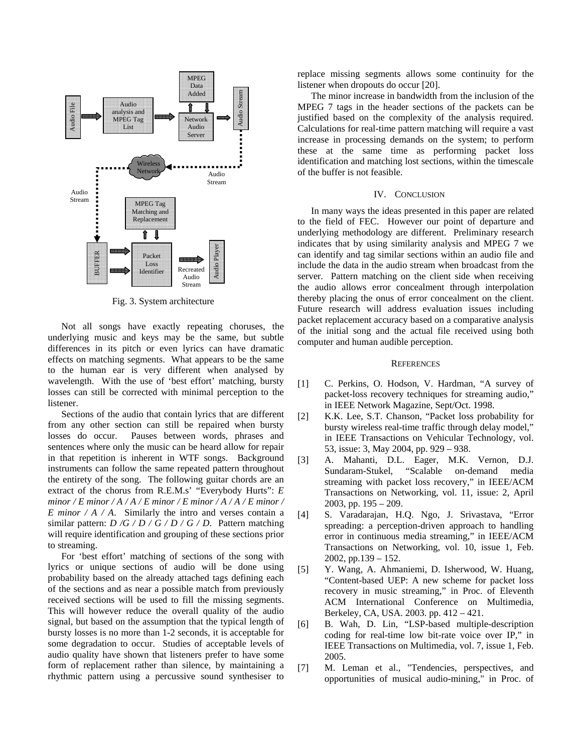

Fig. 3. System architecture

Not all songs have exactly repeating choruses, the underlying music and keys may be the same, but subtle differences in its pitch or even lyrics can have dramatic effects on matching segments. What appears to be the same to the human ear is very different when analysed by wavelength. With the use of 'best effort' matching, bursty losses can still be corrected with minimal perception to the listener.

Sections of the audio that contain lyrics that are different from any other section can still be repaired when bursty losses do occur. Pauses between words, phrases and sentences where only the music can be heard allow for repair in that repetition is inherent in WTF songs. Background instruments can follow the same repeated pattern throughout the entirety of the song. The following guitar chords are an extract of the chorus from R.E.M.s' "Everybody Hurts": *E minor / E minor / A / A / E minor / E minor / A / A / E minor / E minor / A / A*. Similarly the intro and verses contain a similar pattern: *D /G / D / G / D / G / D*. Pattern matching will require identification and grouping of these sections prior to streaming.

For 'best effort' matching of sections of the song with lyrics or unique sections of audio will be done using probability based on the already attached tags defining each of the sections and as near a possible match from previously received sections will be used to fill the missing segments. This will however reduce the overall quality of the audio signal, but based on the assumption that the typical length of bursty losses is no more than 1-2 seconds, it is acceptable for some degradation to occur. Studies of acceptable levels of audio quality have shown that listeners prefer to have some form of replacement rather than silence, by maintaining a rhythmic pattern using a percussive sound synthesiser to

replace missing segments allows some continuity for the listener when dropouts do occur [20].

The minor increase in bandwidth from the inclusion of the MPEG 7 tags in the header sections of the packets can be justified based on the complexity of the analysis required. Calculations for real-time pattern matching will require a vast increase in processing demands on the system; to perform these at the same time as performing packet loss identification and matching lost sections, within the timescale of the buffer is not feasible.

## IV. CONCLUSION

In many ways the ideas presented in this paper are related to the field of FEC. However our point of departure and underlying methodology are different. Preliminary research indicates that by using similarity analysis and MPEG 7 we can identify and tag similar sections within an audio file and include the data in the audio stream when broadcast from the server. Pattern matching on the client side when receiving the audio allows error concealment through interpolation thereby placing the onus of error concealment on the client. Future research will address evaluation issues including packet replacement accuracy based on a comparative analysis of the initial song and the actual file received using both computer and human audible perception.

#### **REFERENCES**

- [1] C. Perkins, O. Hodson, V. Hardman, "A survey of packet-loss recovery techniques for streaming audio," in IEEE Network Magazine, Sept/Oct. 1998.
- [2] K.K. Lee, S.T. Chanson, "Packet loss probability for bursty wireless real-time traffic through delay model," in IEEE Transactions on Vehicular Technology, vol. 53, issue: 3, May 2004, pp. 929 – 938.
- [3] A. Mahanti, D.L. Eager, M.K. Vernon, D.J. Sundaram-Stukel, "Scalable on-demand media streaming with packet loss recovery," in IEEE/ACM Transactions on Networking, vol. 11, issue: 2, April 2003, pp. 195 – 209.
- [4] S. Varadarajan, H.Q. Ngo, J. Srivastava, "Error spreading: a perception-driven approach to handling error in continuous media streaming," in IEEE/ACM Transactions on Networking, vol. 10, issue 1, Feb. 2002, pp.139 – 152.
- [5] Y. Wang, A. Ahmaniemi, D. Isherwood, W. Huang, "Content-based UEP: A new scheme for packet loss recovery in music streaming," in Proc. of Eleventh ACM International Conference on Multimedia, Berkeley, CA, USA. 2003. pp. 412 – 421.
- [6] B. Wah, D. Lin, "LSP-based multiple-description coding for real-time low bit-rate voice over IP," in IEEE Transactions on Multimedia, vol. 7, issue 1, Feb. 2005.
- [7] M. Leman et al., "Tendencies, perspectives, and opportunities of musical audio-mining," in Proc. of